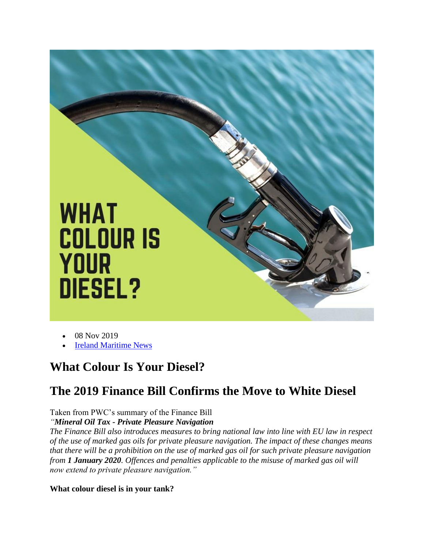

- 08 Nov 2019
- **Ireland Maritime News**

## **What Colour Is Your Diesel?**

# **The 2019 Finance Bill Confirms the Move to White Diesel**

### Taken from PWC's summary of the Finance Bill

### *"Mineral Oil Tax - Private Pleasure Navigation*

*The Finance Bill also introduces measures to bring national law into line with EU law in respect of the use of marked gas oils for private pleasure navigation. The impact of these changes means that there will be a prohibition on the use of marked gas oil for such private pleasure navigation from 1 January 2020. Offences and penalties applicable to the misuse of marked gas oil will now extend to private pleasure navigation."*

#### **What colour diesel is in your tank?**